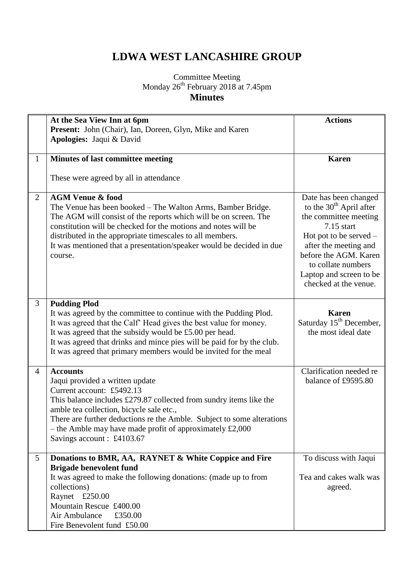## **LDWA WEST LANCASHIRE GROUP**

## Committee Meeting Monday 26<sup>th</sup> February 2018 at 7.45pm **Minutes**

|                | At the Sea View Inn at 6pm<br>Present: John (Chair), Ian, Doreen, Glyn, Mike and Karen                                                                                                                                                                                                                                                                                           | <b>Actions</b>                                                                                                                                                                                                                                      |
|----------------|----------------------------------------------------------------------------------------------------------------------------------------------------------------------------------------------------------------------------------------------------------------------------------------------------------------------------------------------------------------------------------|-----------------------------------------------------------------------------------------------------------------------------------------------------------------------------------------------------------------------------------------------------|
|                | Apologies: Jaqui & David                                                                                                                                                                                                                                                                                                                                                         |                                                                                                                                                                                                                                                     |
| $\mathbf{1}$   | <b>Minutes of last committee meeting</b>                                                                                                                                                                                                                                                                                                                                         | <b>Karen</b>                                                                                                                                                                                                                                        |
|                | These were agreed by all in attendance                                                                                                                                                                                                                                                                                                                                           |                                                                                                                                                                                                                                                     |
| 2              | <b>AGM Venue &amp; food</b><br>The Venue has been booked – The Walton Arms, Bamber Bridge.<br>The AGM will consist of the reports which will be on screen. The<br>constitution will be checked for the motions and notes will be<br>distributed in the appropriate timescales to all members.<br>It was mentioned that a presentation/speaker would be decided in due<br>course. | Date has been changed<br>to the $30th$ April after<br>the committee meeting<br>$7.15$ start<br>Hot pot to be served $-$<br>after the meeting and<br>before the AGM. Karen<br>to collate numbers<br>Laptop and screen to be<br>checked at the venue. |
| 3              | <b>Pudding Plod</b><br>It was agreed by the committee to continue with the Pudding Plod.<br>It was agreed that the Calf' Head gives the best value for money.<br>It was agreed that the subsidy would be £5.00 per head.<br>It was agreed that drinks and mince pies will be paid for by the club.<br>It was agreed that primary members would be invited for the meal           | <b>Karen</b><br>Saturday 15 <sup>th</sup> December,<br>the most ideal date                                                                                                                                                                          |
| $\overline{4}$ | <b>Accounts</b><br>Jaqui provided a written update<br>Current account: £5492.13<br>This balance includes £279.87 collected from sundry items like the<br>amble tea collection, bicycle sale etc.,<br>There are further deductions re the Amble. Subject to some alterations<br>$-$ the Amble may have made profit of approximately £2,000<br>Savings account : £4103.67          | Clarification needed re<br>balance of £9595.80                                                                                                                                                                                                      |
| 5              | Donations to BMR, AA, RAYNET & White Coppice and Fire<br><b>Brigade benevolent fund</b><br>It was agreed to make the following donations: (made up to from<br>collections)<br>Raynet £250.00<br>Mountain Rescue £400.00<br>Air Ambulance<br>£350.00<br>Fire Benevolent fund £50.00                                                                                               | To discuss with Jaqui<br>Tea and cakes walk was<br>agreed.                                                                                                                                                                                          |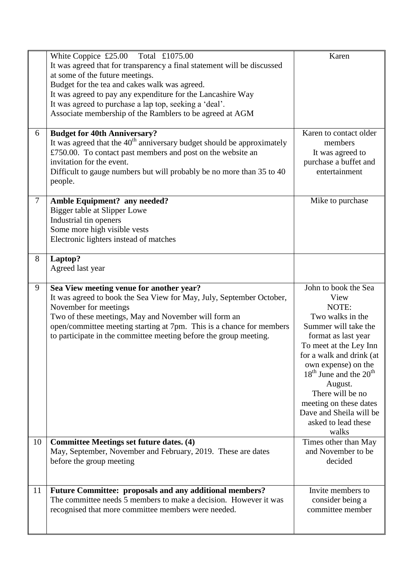|        | White Coppice $£25.00$ Total £1075.00<br>It was agreed that for transparency a final statement will be discussed<br>at some of the future meetings.<br>Budget for the tea and cakes walk was agreed.<br>It was agreed to pay any expenditure for the Lancashire Way<br>It was agreed to purchase a lap top, seeking a 'deal'.<br>Associate membership of the Ramblers to be agreed at AGM | Karen                                                                                                                                                                                                                                                                                                                                   |
|--------|-------------------------------------------------------------------------------------------------------------------------------------------------------------------------------------------------------------------------------------------------------------------------------------------------------------------------------------------------------------------------------------------|-----------------------------------------------------------------------------------------------------------------------------------------------------------------------------------------------------------------------------------------------------------------------------------------------------------------------------------------|
| 6      | <b>Budget for 40th Anniversary?</b><br>It was agreed that the $40th$ anniversary budget should be approximately<br>£750.00. To contact past members and post on the website an<br>invitation for the event.<br>Difficult to gauge numbers but will probably be no more than 35 to 40<br>people.                                                                                           | Karen to contact older<br>members<br>It was agreed to<br>purchase a buffet and<br>entertainment                                                                                                                                                                                                                                         |
| $\tau$ | Amble Equipment? any needed?<br><b>Bigger table at Slipper Lowe</b><br>Industrial tin openers<br>Some more high visible vests<br>Electronic lighters instead of matches                                                                                                                                                                                                                   | Mike to purchase                                                                                                                                                                                                                                                                                                                        |
| 8      | Laptop?<br>Agreed last year                                                                                                                                                                                                                                                                                                                                                               |                                                                                                                                                                                                                                                                                                                                         |
| 9      | Sea View meeting venue for another year?<br>It was agreed to book the Sea View for May, July, September October,<br>November for meetings<br>Two of these meetings, May and November will form an<br>open/committee meeting starting at 7pm. This is a chance for members<br>to participate in the committee meeting before the group meeting.                                            | John to book the Sea<br>View<br>NOTE:<br>Two walks in the<br>Summer will take the<br>format as last year<br>To meet at the Ley Inn<br>for a walk and drink (at<br>own expense) on the<br>$18th$ June and the $20th$<br>August.<br>There will be no<br>meeting on these dates<br>Dave and Sheila will be<br>asked to lead these<br>walks |
| 10     | <b>Committee Meetings set future dates. (4)</b><br>May, September, November and February, 2019. These are dates<br>before the group meeting                                                                                                                                                                                                                                               | Times other than May<br>and November to be<br>decided                                                                                                                                                                                                                                                                                   |
| 11     | <b>Future Committee: proposals and any additional members?</b><br>The committee needs 5 members to make a decision. However it was<br>recognised that more committee members were needed.                                                                                                                                                                                                 | Invite members to<br>consider being a<br>committee member                                                                                                                                                                                                                                                                               |